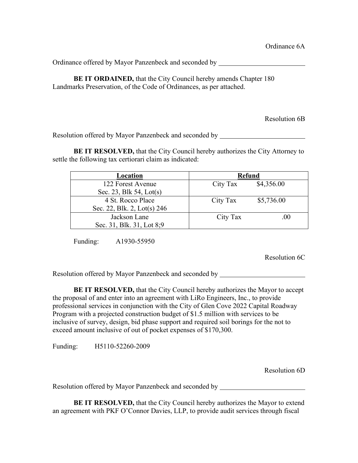Ordinance offered by Mayor Panzenbeck and seconded by

**BE IT ORDAINED, that the City Council hereby amends Chapter 180** Landmarks Preservation, of the Code of Ordinances, as per attached.

Resolution 6B

Resolution offered by Mayor Panzenbeck and seconded by

**BE IT RESOLVED,** that the City Council hereby authorizes the City Attorney to settle the following tax certiorari claim as indicated:

| Location                    | <b>Refund</b> |            |
|-----------------------------|---------------|------------|
| 122 Forest Avenue           | City Tax      | \$4,356.00 |
| Sec. 23, Blk 54, Lot(s)     |               |            |
| 4 St. Rocco Place           | City Tax      | \$5,736.00 |
| Sec. 22, Blk. 2, Lot(s) 246 |               |            |
| Jackson Lane                | City Tax      | .00        |
| Sec. 31, Blk. 31, Lot 8;9   |               |            |

Funding: A1930-55950

Resolution 6C

Resolution offered by Mayor Panzenbeck and seconded by

**BE IT RESOLVED,** that the City Council hereby authorizes the Mayor to accept the proposal of and enter into an agreement with LiRo Engineers, Inc., to provide professional services in conjunction with the City of Glen Cove 2022 Capital Roadway Program with a projected construction budget of \$1.5 million with services to be inclusive of survey, design, bid phase support and required soil borings for the not to exceed amount inclusive of out of pocket expenses of \$170,300.

Funding: H5110-52260-2009

Resolution 6D

Resolution offered by Mayor Panzenbeck and seconded by \_\_\_\_\_\_\_\_\_\_\_\_\_\_\_\_\_\_\_\_\_\_\_\_\_

**BE IT RESOLVED,** that the City Council hereby authorizes the Mayor to extend an agreement with PKF O'Connor Davies, LLP, to provide audit services through fiscal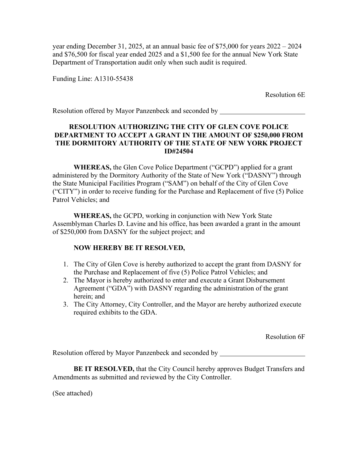year ending December 31, 2025, at an annual basic fee of \$75,000 for years 2022 – 2024 and \$76,500 for fiscal year ended 2025 and a \$1,500 fee for the annual New York State Department of Transportation audit only when such audit is required.

Funding Line: A1310-55438

Resolution 6E

Resolution offered by Mayor Panzenbeck and seconded by

## **RESOLUTION AUTHORIZING THE CITY OF GLEN COVE POLICE DEPARTMENT TO ACCEPT A GRANT IN THE AMOUNT OF \$250,000 FROM THE DORMITORY AUTHORITY OF THE STATE OF NEW YORK PROJECT ID#24504**

**WHEREAS,** the Glen Cove Police Department ("GCPD") applied for a grant administered by the Dormitory Authority of the State of New York ("DASNY") through the State Municipal Facilities Program ("SAM") on behalf of the City of Glen Cove ("CITY") in order to receive funding for the Purchase and Replacement of five (5) Police Patrol Vehicles; and

**WHEREAS,** the GCPD, working in conjunction with New York State Assemblyman Charles D. Lavine and his office, has been awarded a grant in the amount of \$250,000 from DASNY for the subject project; and

## **NOW HEREBY BE IT RESOLVED,**

- 1. The City of Glen Cove is hereby authorized to accept the grant from DASNY for the Purchase and Replacement of five (5) Police Patrol Vehicles; and
- 2. The Mayor is hereby authorized to enter and execute a Grant Disbursement Agreement ("GDA") with DASNY regarding the administration of the grant herein; and
- 3. The City Attorney, City Controller, and the Mayor are hereby authorized execute required exhibits to the GDA.

Resolution 6F

Resolution offered by Mayor Panzenbeck and seconded by

**BE IT RESOLVED,** that the City Council hereby approves Budget Transfers and Amendments as submitted and reviewed by the City Controller.

(See attached)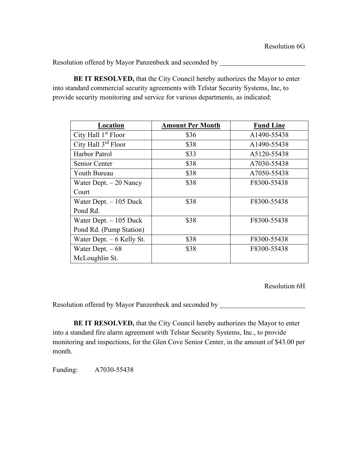**BE IT RESOLVED,** that the City Council hereby authorizes the Mayor to enter into standard commercial security agreements with Telstar Security Systems, Inc, to provide security monitoring and service for various departments, as indicated:

| Location                        | <b>Amount Per Month</b> | <b>Fund Line</b> |
|---------------------------------|-------------------------|------------------|
| City Hall 1 <sup>st</sup> Floor | \$36                    | A1490-55438      |
| City Hall 3rd Floor             | \$38                    | A1490-55438      |
| Harbor Patrol                   | \$33                    | A5120-55438      |
| Senior Center                   | \$38                    | A7030-55438      |
| Youth Bureau                    | \$38                    | A7050-55438      |
| Water Dept. $-20$ Nancy         | \$38                    | F8300-55438      |
| Court                           |                         |                  |
| Water Dept. $-105$ Duck         | \$38                    | F8300-55438      |
| Pond Rd.                        |                         |                  |
| Water Dept. $-105$ Duck         | \$38                    | F8300-55438      |
| Pond Rd. (Pump Station)         |                         |                  |
| Water Dept. $-6$ Kelly St.      | \$38                    | F8300-55438      |
| Water Dept. $-68$               | \$38                    | F8300-55438      |
| McLoughlin St.                  |                         |                  |

Resolution 6H

Resolution offered by Mayor Panzenbeck and seconded by

**BE IT RESOLVED,** that the City Council hereby authorizes the Mayor to enter into a standard fire alarm agreement with Telstar Security Systems, Inc., to provide monitoring and inspections, for the Glen Cove Senior Center, in the amount of \$43.00 per month.

Funding: A7030-55438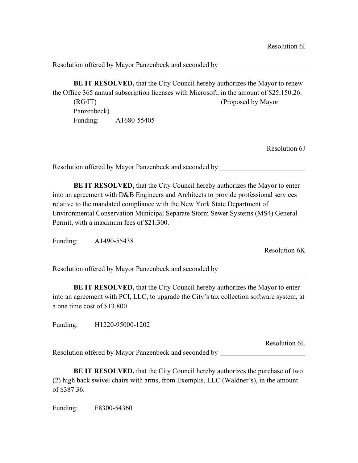**BE IT RESOLVED,** that the City Council hereby authorizes the Mayor to renew the Office 365 annual subscription licenses with Microsoft, in the amount of \$25,150.26. (RG/IT) (Proposed by Mayor Panzenbeck) Funding: A1680-55405

Resolution 6J

Resolution offered by Mayor Panzenbeck and seconded by

**BE IT RESOLVED,** that the City Council hereby authorizes the Mayor to enter into an agreement with D&B Engineers and Architects to provide professional services relative to the mandated compliance with the New York State Department of Environmental Conservation Municipal Separate Storm Sewer Systems (MS4) General Permit, with a maximum fees of \$21,300.

Funding: A1490-55438

Resolution 6K

Resolution offered by Mayor Panzenbeck and seconded by

**BE IT RESOLVED,** that the City Council hereby authorizes the Mayor to enter into an agreement with PCI, LLC, to upgrade the City's tax collection software system, at a one time cost of \$13,800.

Funding: H1220-95000-1202

Resolution 6L Resolution offered by Mayor Panzenbeck and seconded by

**BE IT RESOLVED,** that the City Council hereby authorizes the purchase of two (2) high back swivel chairs with arms, from Exemplis, LLC (Waldner's), in the amount of \$387.36.

Funding: F8300-54360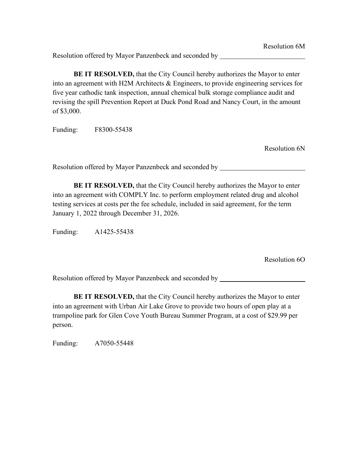**BE IT RESOLVED,** that the City Council hereby authorizes the Mayor to enter into an agreement with H2M Architects & Engineers, to provide engineering services for five year cathodic tank inspection, annual chemical bulk storage compliance audit and revising the spill Prevention Report at Duck Pond Road and Nancy Court, in the amount of \$3,000.

Funding: F8300-55438

Resolution 6N

Resolution offered by Mayor Panzenbeck and seconded by

**BE IT RESOLVED,** that the City Council hereby authorizes the Mayor to enter into an agreement with COMPLY Inc. to perform employment related drug and alcohol testing services at costs per the fee schedule, included in said agreement, for the term January 1, 2022 through December 31, 2026.

Funding: A1425-55438

Resolution 6O

Resolution offered by Mayor Panzenbeck and seconded by

**BE IT RESOLVED,** that the City Council hereby authorizes the Mayor to enter into an agreement with Urban Air Lake Grove to provide two hours of open play at a trampoline park for Glen Cove Youth Bureau Summer Program, at a cost of \$29.99 per person.

Funding: A7050-55448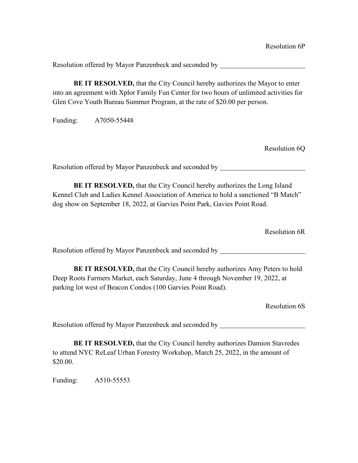Resolution offered by Mayor Panzenbeck and seconded by \_\_\_\_\_\_\_\_\_\_\_\_\_\_\_\_\_\_\_\_\_\_\_\_\_

**BE IT RESOLVED,** that the City Council hereby authorizes the Mayor to enter into an agreement with Xplor Family Fun Center for two hours of unlimited activities for Glen Cove Youth Bureau Summer Program, at the rate of \$20.00 per person.

Funding: A7050-55448

Resolution 6Q

Resolution offered by Mayor Panzenbeck and seconded by

**BE IT RESOLVED,** that the City Council hereby authorizes the Long Island Kennel Club and Ladies Kennel Association of America to hold a sanctioned "B Match" dog show on September 18, 2022, at Garvies Point Park, Gavies Point Road.

Resolution 6R

Resolution offered by Mayor Panzenbeck and seconded by

**BE IT RESOLVED,** that the City Council hereby authorizes Amy Peters to hold Deep Roots Farmers Market, each Saturday, June 4 through November 19, 2022, at parking lot west of Beacon Condos (100 Garvies Point Road).

Resolution 6S

Resolution offered by Mayor Panzenbeck and seconded by

**BE IT RESOLVED,** that the City Council hereby authorizes Damion Stavredes to attend NYC ReLeaf Urban Forestry Workshop, March 25, 2022, in the amount of \$20.00.

Funding: A510-55553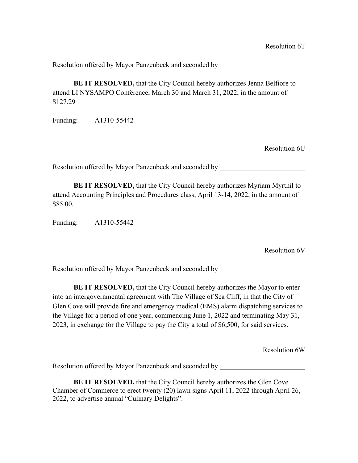**BE IT RESOLVED,** that the City Council hereby authorizes Jenna Belfiore to attend LI NYSAMPO Conference, March 30 and March 31, 2022, in the amount of \$127.29

Funding: A1310-55442

Resolution 6U

Resolution offered by Mayor Panzenbeck and seconded by

**BE IT RESOLVED,** that the City Council hereby authorizes Myriam Myrthil to attend Accounting Principles and Procedures class, April 13-14, 2022, in the amount of \$85.00.

Funding: A1310-55442

Resolution 6V

Resolution offered by Mayor Panzenbeck and seconded by

**BE IT RESOLVED,** that the City Council hereby authorizes the Mayor to enter into an intergovernmental agreement with The Village of Sea Cliff, in that the City of Glen Cove will provide fire and emergency medical (EMS) alarm dispatching services to the Village for a period of one year, commencing June 1, 2022 and terminating May 31, 2023, in exchange for the Village to pay the City a total of \$6,500, for said services.

Resolution 6W

Resolution offered by Mayor Panzenbeck and seconded by

**BE IT RESOLVED,** that the City Council hereby authorizes the Glen Cove Chamber of Commerce to erect twenty (20) lawn signs April 11, 2022 through April 26, 2022, to advertise annual "Culinary Delights".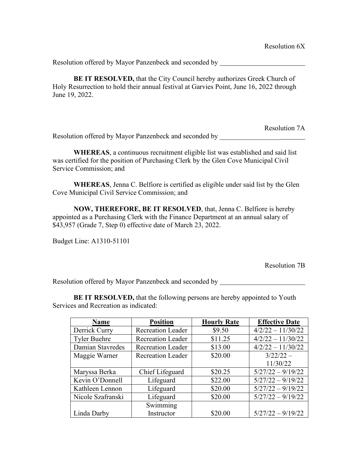**BE IT RESOLVED,** that the City Council hereby authorizes Greek Church of Holy Resurrection to hold their annual festival at Garvies Point, June 16, 2022 through June 19, 2022.

Resolution 7A Resolution offered by Mayor Panzenbeck and seconded by \_\_\_\_\_\_\_\_\_\_\_\_\_\_\_\_\_\_\_\_\_\_\_\_\_\_

**WHEREAS**, a continuous recruitment eligible list was established and said list was certified for the position of Purchasing Clerk by the Glen Cove Municipal Civil Service Commission; and

**WHEREAS**, Jenna C. Belfiore is certified as eligible under said list by the Glen Cove Municipal Civil Service Commission; and

**NOW, THEREFORE, BE IT RESOLVED**, that, Jenna C. Belfiore is hereby appointed as a Purchasing Clerk with the Finance Department at an annual salary of \$43,957 (Grade 7, Step 0) effective date of March 23, 2022.

Budget Line: A1310-51101

Resolution 7B

Resolution offered by Mayor Panzenbeck and seconded by

**BE IT RESOLVED, that the following persons are hereby appointed to Youth** Services and Recreation as indicated:

| Name                | <b>Position</b>          | <b>Hourly Rate</b> | <b>Effective Date</b> |
|---------------------|--------------------------|--------------------|-----------------------|
| Derrick Curry       | <b>Recreation Leader</b> | \$9.50             | $4/2/22 - 11/30/22$   |
| <b>Tyler Buehre</b> | <b>Recreation Leader</b> | \$11.25            | $4/2/22 - 11/30/22$   |
| Damian Stavredes    | <b>Recreation Leader</b> | \$13.00            | $4/2/22 - 11/30/22$   |
| Maggie Warner       | <b>Recreation Leader</b> | \$20.00            | $3/22/22 -$           |
|                     |                          |                    | 11/30/22              |
| Maryssa Berka       | Chief Lifeguard          | \$20.25            | $5/27/22 - 9/19/22$   |
| Kevin O'Donnell     | Lifeguard                | \$22.00            | $5/27/22 - 9/19/22$   |
| Kathleen Lennon     | Lifeguard                | \$20.00            | $5/27/22 - 9/19/22$   |
| Nicole Szafranski   | Lifeguard                | \$20.00            | $5/27/22 - 9/19/22$   |
|                     | Swimming                 |                    |                       |
| Linda Darby         | Instructor               | \$20.00            | $5/27/22 - 9/19/22$   |